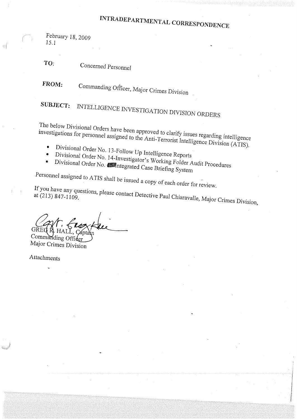## INTRADEPARTMENTAL CORRESPONDENCE

February 18, 2009 15.1

TO: Concerned Personnel

FROM: Commanding Officer, Major Crimes Division

SUBJECT: INTELLIGENCE INVESTIGATION DIVISION ORDERS

The below Divisional Orders have been approved to clarify issues regarding intelligence investigations for personnel assigned to the Anti-Terrorist Intelligence Division (ATIS).

- Divisional Order No. 13-Follow Up Intelligence Reports  $\bullet$
- $\bullet$
- Divisional Order No. 14-Investigator's Working Folder Audit Procedures Divisional Order No. **Solution**tegrated Case Briefing System

Personnel assigned to ATIS shall be issued a copy of each order for review.

If you have any questions, please contact Detective Paul Chiaravalle, Major Crimes Division,

Commanding Officer

Major Crimes Division

Attachments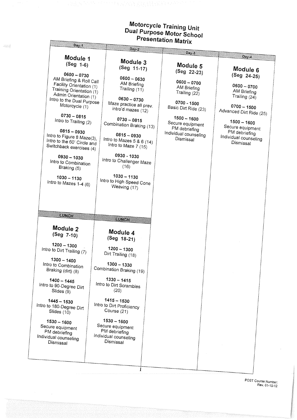## Motorcycle Training Unit<br>Dual Purpose Motor School<br>Presentation Matrix

 $\frac{1}{\exp(\gamma)}$ 

| <b>Selitation Matrix</b><br>$Day-1$                                                                                                                                                                                                                                                                                                           |                                                                                                                                                                                                                                                     |                                                                                                                                                                                                 |                                                                                                                                                                                                      |  |  |  |  |
|-----------------------------------------------------------------------------------------------------------------------------------------------------------------------------------------------------------------------------------------------------------------------------------------------------------------------------------------------|-----------------------------------------------------------------------------------------------------------------------------------------------------------------------------------------------------------------------------------------------------|-------------------------------------------------------------------------------------------------------------------------------------------------------------------------------------------------|------------------------------------------------------------------------------------------------------------------------------------------------------------------------------------------------------|--|--|--|--|
|                                                                                                                                                                                                                                                                                                                                               | Day-2                                                                                                                                                                                                                                               | $Day-3$                                                                                                                                                                                         | Day-4                                                                                                                                                                                                |  |  |  |  |
| Module 1<br>$(Seg 1-6)$                                                                                                                                                                                                                                                                                                                       | Module 3<br>(Seg 11-17)                                                                                                                                                                                                                             | Module 5                                                                                                                                                                                        | Module 6                                                                                                                                                                                             |  |  |  |  |
| $0600 - 0730$<br>AM Briefing & Roll Call<br>Facility Orientation (1)<br>Training Orientation (1)<br>Admin Orientation (1)<br>Intro to the Dual Purpose<br>Motorcycle (1)<br>$0730 - 0815$<br>Intro to Trailing (2)<br>$0815 - 0930$<br>Intro to Figure 8 Maze(3),<br>Intro to the 60' Circle and<br>Switchback exercises (4)<br>$0930 - 1030$ | $0600 - 0630$<br>AM Briefing<br>Trailing (11)<br>$0630 - 0730$<br>Maze practice all prev.<br>intro'd mazes (12)<br>$0730 - 0815$<br>Combination Braking (13)<br>$0815 - 0930$<br>Intro to Mazes $5 & 6(14)$<br>Intro to Maze $7(15)$<br>0930 - 1030 | (Seg 22-23)<br>$0600 - 0700$<br>AM Briefing<br>Trailing (22)<br>0700 - 1500<br>Basic Dirt Ride (23)<br>$1500 - 1600$<br>Secure equipment<br>PM debriefing<br>Individual counseling<br>Dismissal | (Seg 24-25)<br>$0600 - 0700$<br>AM Briefing<br>Trailing (24)<br>$0700 - 1500$<br>Advanced Dirt Ride (25)<br>$1500 - 1600$<br>Secure equipment<br>PM debriefing<br>Individual counseling<br>Dismissal |  |  |  |  |
| Intro to Combination<br>Braking (5)<br>$1030 - 1130$<br>Intro to Mazes $1-4$ (6)                                                                                                                                                                                                                                                              | Intro to Challenger Maze<br>(16)<br>$1030 - 1130$<br>Intro to High Speed Cone<br>Weaving (17)                                                                                                                                                       |                                                                                                                                                                                                 |                                                                                                                                                                                                      |  |  |  |  |
| LUNCH                                                                                                                                                                                                                                                                                                                                         | LUNCH                                                                                                                                                                                                                                               |                                                                                                                                                                                                 |                                                                                                                                                                                                      |  |  |  |  |
| Module 2<br>(Seg 7-10)                                                                                                                                                                                                                                                                                                                        | Module 4<br>(Seg 18-21)                                                                                                                                                                                                                             |                                                                                                                                                                                                 |                                                                                                                                                                                                      |  |  |  |  |
| $1200 - 1300$<br>Intro to Dirt Trailing (7)                                                                                                                                                                                                                                                                                                   | $1200 - 1300$<br>Dirt Trailing (18)                                                                                                                                                                                                                 |                                                                                                                                                                                                 |                                                                                                                                                                                                      |  |  |  |  |
| $1300 - 1400$<br>Intro to Combination<br>Braking (dirt) (8)                                                                                                                                                                                                                                                                                   | $1300 - 1330$<br>Combination Braking (19)                                                                                                                                                                                                           |                                                                                                                                                                                                 |                                                                                                                                                                                                      |  |  |  |  |
| $1400 - 1445$<br>Intro to 90-Degree Dirt<br>Slides (9)                                                                                                                                                                                                                                                                                        | $1330 - 1415$<br>Intro to Dirt Scrambles<br>(20)                                                                                                                                                                                                    |                                                                                                                                                                                                 |                                                                                                                                                                                                      |  |  |  |  |
| $1445 - 1530$<br>Intro to 180-Degree Dirt<br>Slides (10)                                                                                                                                                                                                                                                                                      | $1415 - 1530$<br>Intro to Dirt Proficiency<br>Course (21)                                                                                                                                                                                           |                                                                                                                                                                                                 |                                                                                                                                                                                                      |  |  |  |  |
| $1530 - 1600$<br>Secure equipment<br>PM debriefing<br>Individual counseling<br>Dismissal                                                                                                                                                                                                                                                      | $1530 - 1600$<br>Secure equipment<br>PM debriefing<br>Individual counseling<br>Dismissal                                                                                                                                                            |                                                                                                                                                                                                 |                                                                                                                                                                                                      |  |  |  |  |
|                                                                                                                                                                                                                                                                                                                                               |                                                                                                                                                                                                                                                     |                                                                                                                                                                                                 |                                                                                                                                                                                                      |  |  |  |  |

POST Course Number:<br>Rev. 01-10-12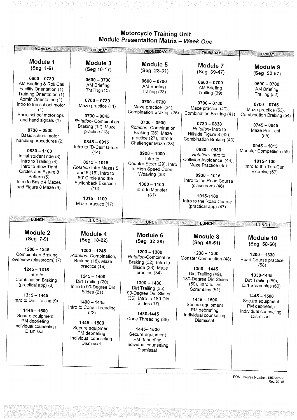| rryyar nammy onn<br>Module Presentation Matrix - Week One                                                                                                                                                                                                                                                                                                                                                                                                              |                                                                                                                                                                                                                                                                                                                                                                                           |                                                                                                                                                                                                                                                                                                                                                                                 |                                                                                                                                                                                                                                                                                                                                                                                                                   |                                                                                                                                                                                                                                                                               |  |  |
|------------------------------------------------------------------------------------------------------------------------------------------------------------------------------------------------------------------------------------------------------------------------------------------------------------------------------------------------------------------------------------------------------------------------------------------------------------------------|-------------------------------------------------------------------------------------------------------------------------------------------------------------------------------------------------------------------------------------------------------------------------------------------------------------------------------------------------------------------------------------------|---------------------------------------------------------------------------------------------------------------------------------------------------------------------------------------------------------------------------------------------------------------------------------------------------------------------------------------------------------------------------------|-------------------------------------------------------------------------------------------------------------------------------------------------------------------------------------------------------------------------------------------------------------------------------------------------------------------------------------------------------------------------------------------------------------------|-------------------------------------------------------------------------------------------------------------------------------------------------------------------------------------------------------------------------------------------------------------------------------|--|--|
| <b>MONDAY</b>                                                                                                                                                                                                                                                                                                                                                                                                                                                          | <b>TUESDAY</b>                                                                                                                                                                                                                                                                                                                                                                            | <b>WEDNESDAY</b>                                                                                                                                                                                                                                                                                                                                                                | <b>THURSDAY</b>                                                                                                                                                                                                                                                                                                                                                                                                   | <b>FRIDAY</b>                                                                                                                                                                                                                                                                 |  |  |
| Module 1<br>$(Seg 1-6)$                                                                                                                                                                                                                                                                                                                                                                                                                                                | Module 3<br>(Seg 10-17)                                                                                                                                                                                                                                                                                                                                                                   | Module 5<br>(Seg 23-31)                                                                                                                                                                                                                                                                                                                                                         | Module 7<br>(Seg 39-47)                                                                                                                                                                                                                                                                                                                                                                                           | Module 9                                                                                                                                                                                                                                                                      |  |  |
| 0600 - 0730<br>AM Briefing & Roll Call<br>Facility Orientation (1)<br>Training Orientation (1)<br>Admin Orientation (1)<br>Intro to the school motor<br>(1)<br>Basic school motor ops<br>and hand signals (1)<br>$0730 - 0830$<br>Basic school motor<br>handling procedures (2)<br>$0830 - 1100$<br>Initial student ride (3)<br>Intro to Trailing (4)<br>Intro to Slow Tight<br>Circles and Figure 8<br>Pattern (5)<br>Intro to Basic 4 Mazes<br>and Figure 8 Maze (6) | $0600 - 0700$<br>AM Briefing<br>Trailing (10)<br>$0700 - 0730$<br>Maze practice (11)<br>$0730 - 0845$<br>Rotation- Combination<br>Braking (12), Maze<br>practice (13)<br>$0845 - 0915$<br>Intro to "D-Cell" U-turn<br>(14)<br>$0915 - 1015$<br>Rotation-Intro Mazes 5<br>and $6(15)$ , Intro to<br>60' Circle and the<br>Switchback Exercise<br>(16)<br>1015 - 1100<br>Maze practice (17) | $0600 - 0700$<br>AM Briefing<br>Trailing (23)<br>0700 - 0730<br>Maze practice (24),<br>Combination Braking (25)<br>$0730 - 0900$<br>Rotation- Combination<br>Braking (26), Maze<br>practice (27), Intro to<br>Challenger Maze (28)<br>$0900 - 1000$<br>Intro to<br>Counter Steer (29), Intro<br>to High Speed Cone<br>Weaving (30)<br>$1000 - 1100$<br>Intro to Monster<br>(31) | $0600 - 0700$<br>AM Briefing<br>Trailing (39)<br>$0700 - 0730$<br>Maze practice (40),<br>Combination Braking (41)<br>$0730 - 0830$<br>Rotation-Intro to<br>Hillside Figure 8 (42),<br>Combination Braking (43)<br>$0830 - 0930$<br>Rotation-Intro to<br>Collision Avoidance (44),<br>Maze Practice (45)<br>$0930 - 1015$<br>Intro to the Road Course<br>(classroom) (46)<br>1015-1100<br>Intro to the Road Course | (Seg 52-57)<br>$0600 - 0700$<br>AM Briefing<br>Trailing (52)<br>$0700 - 0745$<br>Maze practice (53),<br>Combination Braking (54)<br>$0745 - 0945$<br>Maze Pre-Test<br>(55)<br>$0945 - 1015$<br>Monster Competition (56)<br>1015-1100<br>Intro to the Top-Gun<br>Exercise (57) |  |  |
| <b>LUNCH</b>                                                                                                                                                                                                                                                                                                                                                                                                                                                           | <b>LUNCH</b>                                                                                                                                                                                                                                                                                                                                                                              | <b>LUNCH</b>                                                                                                                                                                                                                                                                                                                                                                    | (practical app) (47)<br><b>LUNCH</b>                                                                                                                                                                                                                                                                                                                                                                              |                                                                                                                                                                                                                                                                               |  |  |
| Module 2<br>(Seg 7-9)                                                                                                                                                                                                                                                                                                                                                                                                                                                  | Module 4<br>(Seg 18-22)                                                                                                                                                                                                                                                                                                                                                                   | Module 6<br>(Seg 32-38)                                                                                                                                                                                                                                                                                                                                                         | Module 8<br>(Seg 48-51)                                                                                                                                                                                                                                                                                                                                                                                           | <b>LUNCH</b><br>Module 10<br>$(Seg 58-60)$                                                                                                                                                                                                                                    |  |  |
| $1200 - 1245$<br><b>Combination Braking</b><br>overview (classroom) (7)<br>$1245 - 1315$<br>Intro to<br><b>Combination Braking</b><br>(practical app) (8)<br>$1315 - 1445$<br>Intro to Dirt Trailing (9)<br>$1445 - 1500$<br>Secure equipment<br>PM debriefing<br>Individual counseling<br>Dismissal                                                                                                                                                                   | $1200 - 1245$<br>Rotation- Combination,<br>Braking (18), Maze<br>practice (19)<br>$1245 - 1400$<br>Dirt Trailing (20),<br>Intro to 90-Degree Dirt<br>Slides (21)<br>$1400 - 1445$<br>Intro to Cone Threading<br>(22)<br>$1445 - 1500$<br>Secure equipment<br>PM debriefing<br>Individual counseling<br>Dismissal                                                                          | $1200 - 1300$<br>Rotation-Combination<br>Braking (32), Intro to<br>Hillside (33), Maze<br>practice (34)<br>$1300 - 1430$<br>Dirt Trailing (35),<br>90-Degree Dirt Slides<br>(36), Intro to 180-Dirt<br>Slides (37)<br>1430-1445<br>Cone Threading (38)<br>1445-1500<br>Secure equipment<br>PM debriefing<br>Individual counseling<br>Dismissal                                  | $1200 - 1300$<br>Monster Competition (48)<br>$1300 - 1445$<br>Dirt Trailing (49),<br>180-Degree Dirt Slides<br>(50), Intro to Dirt<br>Scrambles (51)<br>$1445 - 1500$<br>Secure equipment<br>PM debriefing<br>Individual counseling<br>Dismissal                                                                                                                                                                  | $1200 - 1330$<br>Road Course practice<br>(58)<br>1330-1445<br>Dirt Trailing (59),<br>Dirt Scrambles (60)<br>$1445 - 1500$<br>Secure equipment<br>PM debriefing<br>Individual counseling<br>Dismissal                                                                          |  |  |

## Motorcycle Training Unit

POST Course Number: 1850 32550 Rev. 02-16